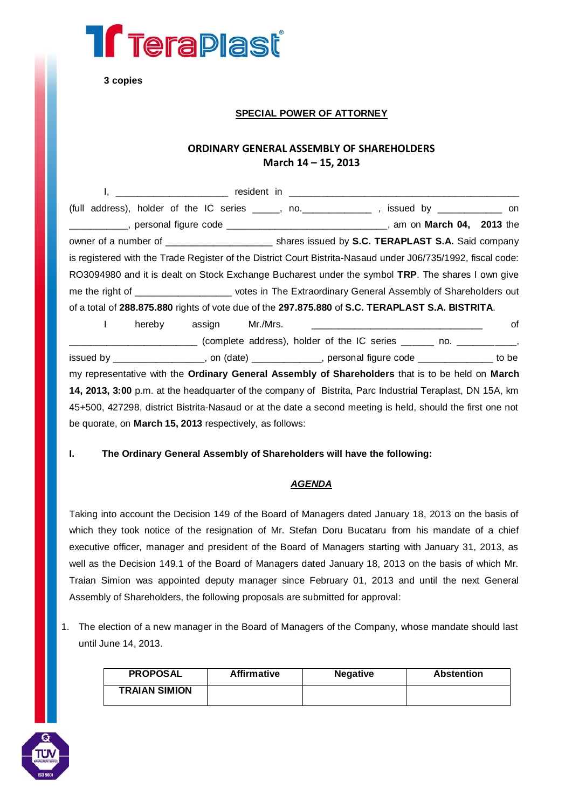

**3 copies**

#### **SPECIAL POWER OF ATTORNEY**

### **ORDINARY GENERAL ASSEMBLY OF SHAREHOLDERS March 14 – 15, 2013**

| ı,                                                                                                           |                        |  |  |    |
|--------------------------------------------------------------------------------------------------------------|------------------------|--|--|----|
| (full address), holder of the IC series _____, no. ____________, issued by ___________ on                    |                        |  |  |    |
| ____________, personal figure code _______________________________, am on <b>March 04, 2013</b> the          |                        |  |  |    |
|                                                                                                              |                        |  |  |    |
| is registered with the Trade Register of the District Court Bistrita-Nasaud under J06/735/1992, fiscal code: |                        |  |  |    |
| RO3094980 and it is dealt on Stock Exchange Bucharest under the symbol TRP. The shares I own give            |                        |  |  |    |
| me the right of _____________________ votes in The Extraordinary General Assembly of Shareholders out        |                        |  |  |    |
| of a total of 288.875.880 rights of vote due of the 297.875.880 of S.C. TERAPLAST S.A. BISTRITA.             |                        |  |  |    |
| $\mathbf{L}$                                                                                                 | hereby assign Mr./Mrs. |  |  | оf |
| __________________________(complete address), holder of the IC series ______ no. ____________,               |                        |  |  |    |
| issued by ___________________, on (date) _____________, personal figure code _____________ to be             |                        |  |  |    |
| my representative with the Ordinary General Assembly of Shareholders that is to be held on March             |                        |  |  |    |
| 14, 2013, 3:00 p.m. at the headquarter of the company of Bistrita, Parc Industrial Teraplast, DN 15A, km     |                        |  |  |    |
| 45+500, 427298, district Bistrita-Nasaud or at the date a second meeting is held, should the first one not   |                        |  |  |    |
| be quorate, on <b>March 15, 2013</b> respectively, as follows:                                               |                        |  |  |    |

#### **I. The Ordinary General Assembly of Shareholders will have the following:**

#### *AGENDA*

Taking into account the Decision 149 of the Board of Managers dated January 18, 2013 on the basis of which they took notice of the resignation of Mr. Stefan Doru Bucataru from his mandate of a chief executive officer, manager and president of the Board of Managers starting with January 31, 2013, as well as the Decision 149.1 of the Board of Managers dated January 18, 2013 on the basis of which Mr. Traian Simion was appointed deputy manager since February 01, 2013 and until the next General Assembly of Shareholders, the following proposals are submitted for approval:

1. The election of a new manager in the Board of Managers of the Company, whose mandate should last until June 14, 2013.

| <b>PROPOSAL</b>      | <b>Affirmative</b> | <b>Negative</b> | <b>Abstention</b> |
|----------------------|--------------------|-----------------|-------------------|
| <b>TRAIAN SIMION</b> |                    |                 |                   |

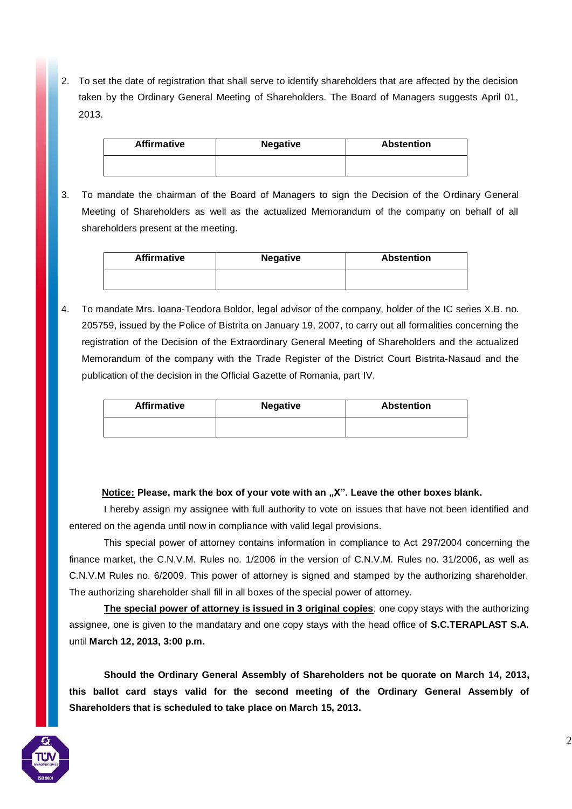2. To set the date of registration that shall serve to identify shareholders that are affected by the decision taken by the Ordinary General Meeting of Shareholders. The Board of Managers suggests April 01, 2013.

| <b>Affirmative</b> | <b>Negative</b> | <b>Abstention</b> |
|--------------------|-----------------|-------------------|
|                    |                 |                   |

3. To mandate the chairman of the Board of Managers to sign the Decision of the Ordinary General Meeting of Shareholders as well as the actualized Memorandum of the company on behalf of all shareholders present at the meeting.

| <b>Affirmative</b> | <b>Negative</b> | <b>Abstention</b> |
|--------------------|-----------------|-------------------|
|                    |                 |                   |

4. To mandate Mrs. Ioana-Teodora Boldor, legal advisor of the company, holder of the IC series X.B. no. 205759, issued by the Police of Bistrita on January 19, 2007, to carry out all formalities concerning the registration of the Decision of the Extraordinary General Meeting of Shareholders and the actualized Memorandum of the company with the Trade Register of the District Court Bistrita-Nasaud and the publication of the decision in the Official Gazette of Romania, part IV.

| <b>Affirmative</b> | <b>Negative</b> | <b>Abstention</b> |
|--------------------|-----------------|-------------------|
|                    |                 |                   |

#### **Notice: Please, mark the box of your vote with an "X". Leave the other boxes blank.**

I hereby assign my assignee with full authority to vote on issues that have not been identified and entered on the agenda until now in compliance with valid legal provisions.

This special power of attorney contains information in compliance to Act 297/2004 concerning the finance market, the C.N.V.M. Rules no. 1/2006 in the version of C.N.V.M. Rules no. 31/2006, as well as C.N.V.M Rules no. 6/2009. This power of attorney is signed and stamped by the authorizing shareholder. The authorizing shareholder shall fill in all boxes of the special power of attorney.

**The special power of attorney is issued in 3 original copies**: one copy stays with the authorizing assignee, one is given to the mandatary and one copy stays with the head office of **S.C.TERAPLAST S.A.**  until **March 12, 2013, 3:00 p.m.**

**Should the Ordinary General Assembly of Shareholders not be quorate on March 14, 2013, this ballot card stays valid for the second meeting of the Ordinary General Assembly of Shareholders that is scheduled to take place on March 15, 2013.**